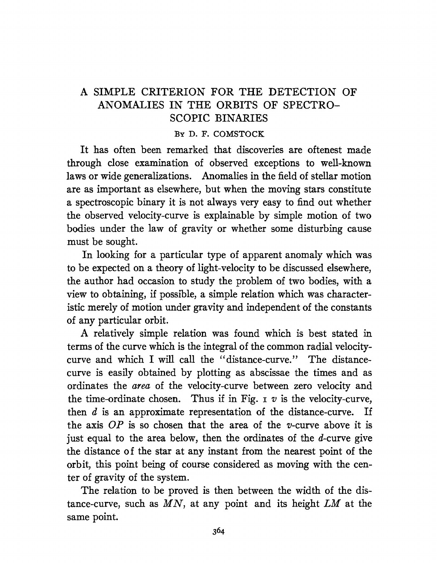## A SIMPLE CRITERION FOR THE DETECTION OF ANOMALIES IN THE ORBITS OF SPECTRO-SCOPIC BINARIES

## By D. F. COMSTOCK

It has often been remarked that discoveries are oftenest made through close examination of observed exceptions to well-known laws or wide generalizations. Anomalies in the field of stellar motion are as important as elsewhere, but when the moving stars constitute a spectroscopic binary it is not always very easy to find out whether the observed velocity-curve is explainable by simple motion of two bodies under the law of gravity or whether some disturbing cause must be sought.

In looking for a particular type of apparent anomaly which was to be expected on a theory of light-velocity to be discussed elsewhere, the author had occasion to study the problem of two bodies, with a view to obtaining, if possible, a simple relation which was characteristic merely of motion under gravity and independent of the constants of any particular orbit.

A relatively simple relation was found which is best stated in terms of the curve which is the integral of the common radial velocitycurve and which I will call the "distance-curve." The distancecurve is easily obtained by plotting as abscissae the times and as ordinates the *area* of the velocity-curve between zero velocity and the time-ordinate chosen. Thus if in Fig.  $\tau$  v is the velocity-curve, then  $d$  is an approximate representation of the distance-curve. If the axis *OP* is so chosen that the area of the v-curve above it is just equal to the area below, then the ordinates of the  $d$ -curve give the distance of the star at any instant from. the nearest point of the orbit, this point being of course considered as moving with the center of gravity of the system.

The relation to be proved is then between the width of the distance-curve, such as  $MN$ , at any point and its height  $LM$  at the same point.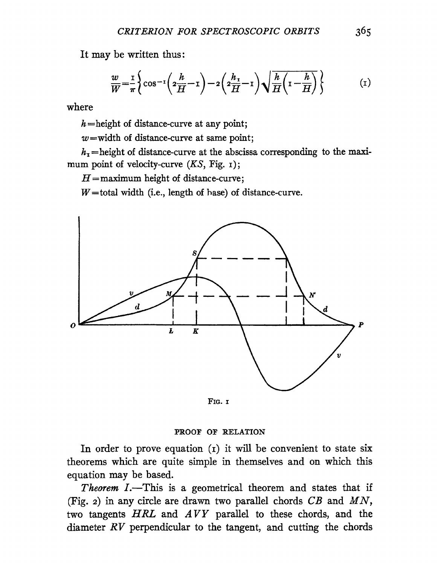It may be written thus:

$$
\frac{w}{W} = \frac{1}{\pi} \left\{ \cos^{-1} \left( 2\frac{h}{H} - 1 \right) - 2 \left( 2\frac{h_1}{H} - 1 \right) \sqrt{\frac{h}{H} \left( 1 - \frac{h}{H} \right)} \right\} \tag{1}
$$

where

 $h$ =height of distance-curve at any point;

 $w$ =width of distance-curve at same point;

 $h_1$  = height of distance-curve at the abscissa corresponding to the maximum point of velocity-curve  $(KS, Fig. 1);$ 

 $H =$ maximum height of distance-curve;

 $W =$ total width (i.e., length of hase) of distance-curve.



FIG. I

## PROOF OF RELATION

In order to prove equation  $(i)$  it will be convenient to state six theorems which are quite simple in themselves and on which this equation may be based.

*Theorem I.*—This is a geometrical theorem and states that if (Fig. 2) in any circle are drawn two parallel chords  $CB$  and  $MN$ , two tangents *HRL* and *A VY* parallel to these chords, and the diameter  $RV$  perpendicular to the tangent, and cutting the chords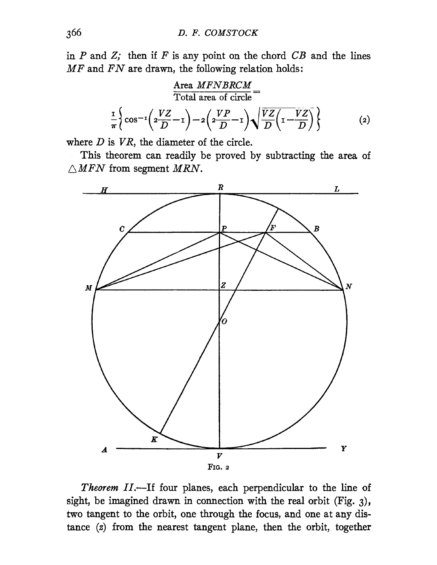in  $P$  and  $Z$ ; then if  $F$  is any point on the chord  $CB$  and the lines  $MF$  and  $FN$  are drawn, the following relation holds:

$$
\frac{\text{Area } MFNBRCM}{\text{Total area of circle}} =
$$
\n
$$
\frac{1}{\pi} \left\{ \cos^{-1} \left( 2\frac{VZ}{D} - 1 \right) - 2 \left( 2\frac{VP}{D} - 1 \right) \sqrt{\frac{VZ}{D} \left( 1 - \frac{VZ}{D} \right)} \right\}
$$
(2)

where  $D$  is  $VR$ , the diameter of the circle.

This theorem can readily be proved by subtracting the area of  $\triangle MFN$  from segment MRN.



Theorem II.-If four planes, each perpendicular to the line of sight, be imagined drawn in connection with the real orbit (Fig. 3), two tangent to the orbit, one through the focus, and one at any distance (z) from. the nearest tangent plane, then the orbit, together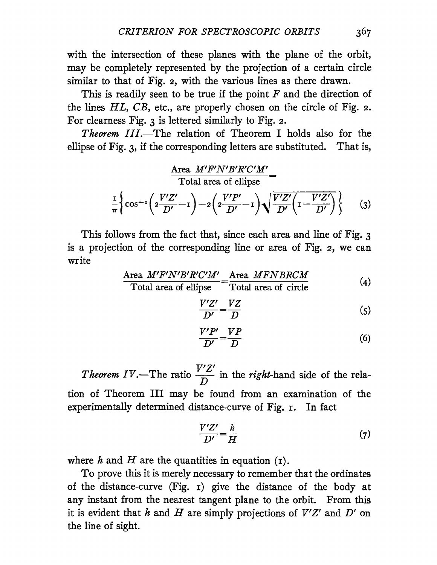with the intersection of these planes with the plane of the orbit, may be completely represented by the projection of a certain circle similar to that of Fig. 2, with the various lines as there drawn.

This is readily seen to be true if the point  $F$  and the direction of the lines *HL, CB,* etc., are properly chosen on the circle of Fig. 2. For clearness Fig. 3 is lettered similarly to Fig. 2.

*Theorem III*.—The relation of Theorem I holds also for the ellipse of Fig. 3, if the corresponding letters are substituted. That is,

$$
\frac{\text{Area } M'F'N'B'R'C'M'}{\text{Total area of ellipse}} =
$$
  

$$
\frac{1}{\pi} \left\{ \cos^{-1} \left( 2\frac{V'Z'}{D'} - 1 \right) - 2 \left( 2\frac{V'P'}{D'} - 1 \right) \sqrt{\frac{V'Z'}{D'} \left( 1 - \frac{V'Z'}{D'} \right)} \right\} \qquad (3)
$$

This follows from the fact that, since each area and line of Fig. 3 is a projection of the corresponding line or area of Fig. 2, we can write

$$
\frac{\text{Area } M'F'N'B'R'C'M'}{\text{Total area of ellipse}} = \frac{\text{Area } MFNBRCM}{\text{Total area of circle}} \tag{4}
$$

$$
\frac{V'Z'}{D'} = \frac{VZ}{D} \tag{5}
$$

$$
\frac{V'P'}{D'} = \frac{VP}{D} \tag{6}
$$

*Theorem IV*.—The ratio  $\frac{V'Z'}{D}$  in the *right*-hand side of the relation of Theorem III may be found from an examination of the experimentally determined distance-curve of Fig. 1. In fact

$$
\frac{V'Z'}{D'} = \frac{h}{H} \tag{7}
$$

where h and H are the quantities in equation  $(I)$ .

To prove this it is merely necessary to remember that the ordinates of the distance-curve (Fig. I) give the distance of the body at any instant from the nearest tangent plane to the orbit. From this it is evident that h and H are simply projections of  $V'Z'$  and  $D'$  on the line of sight.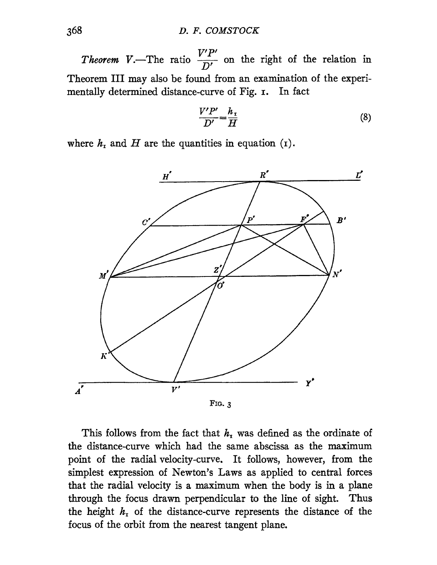*Theorem V.*—The ratio  $\frac{V'P'}{D'}$  on the right of the relation in Theorem III may also be found from an examination of the experimentally determined distance-curve of Fig. 1. In fact

$$
\frac{V'P'}{D'} = \frac{h_{\rm T}}{H} \tag{8}
$$

where  $h_1$  and  $H$  are the quantities in equation (1).



FIG. 3

This follows from the fact that  $h<sub>r</sub>$  was defined as the ordinate of the distance-curve which had the same abscissa as the maximum point of the radial velocity-curve. It follows, however, from. the simplest expression of Newton's Laws as applied to central forces that the radial velocity is a maximum when the body is in a plane through the focus drawn perpendicular to the line of sight. Thus the height  $h_1$  of the distance-curve represents the distance of the focus of the orbit from the nearest tangent plane.

 $\overline{A'}$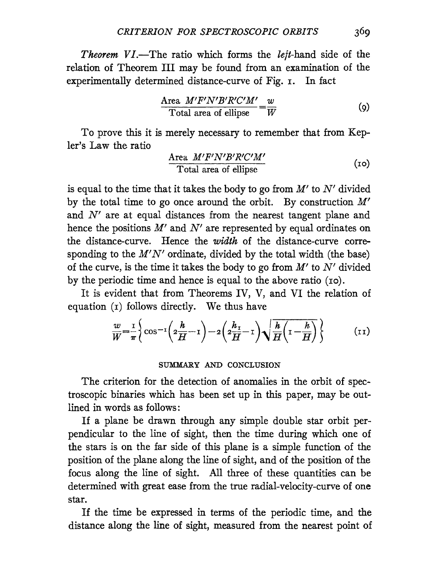*Theorem VI.*—The ratio which forms the *left*-hand side of the relation of Theorem III may be found from an examination of the experimentally determined distance-curve of Fig. 1. In fact

$$
\frac{\text{Area } M'F'N'B'R'C'M'}{\text{Total area of ellipse}} = \frac{w}{W} \tag{9}
$$

To prove this it is merely necessary to remember that from Kepler's Law the ratio

$$
\frac{\text{Area } M'F'N'B'R'C'M'}{\text{Total area of ellipse}} \tag{10}
$$

is equal to the time that it takes the body to go from *M'* to *N'* divided by the total time to go once around the orbit. By construction  $M'$ and *N'* are at equal distances from the nearest tangent plane and hence the positions *M'* and *N'* are represented by equal ordinates on the distance-curve. Hence the *width* of the distance-curve corresponding to the *M'N'* ordinate, divided by the total width (the base) of the curve, is the time it takes the body to go from  $M'$  to  $N'$  divided by the periodic time and hence is equal to the above ratio (10).

It is evident that from Theorems IV, V, and VI the relation of equation (1) follows directly. We thus have

$$
\frac{w}{W} = \frac{1}{\pi} \left\{ \cos^{-1} \left( 2\frac{h}{H} - 1 \right) - 2 \left( 2\frac{h_1}{H} - 1 \right) \sqrt{\frac{h}{H} \left( 1 - \frac{h}{H} \right)} \right\} \tag{11}
$$

## SUMMARY AND CONCLUSION

The criterion for the detection of anomalies in the orbit of spectroscopic binaries which has been set up in this paper, may be outlined in words as follows:

If a plane be drawn through any simple double star orbit perpendicular to the line of sight, then the time during which one of the stars is on the far side of this plane is a simple function of the position of the plane along the line of sight, and of the position of the focus along the line of sight. All three of these quantities can be determined with great ease from the true radial-velocity-curve of one star.

If the time be expressed in terms of the periodic time, and the distance along the line of sight, measured from the nearest point of